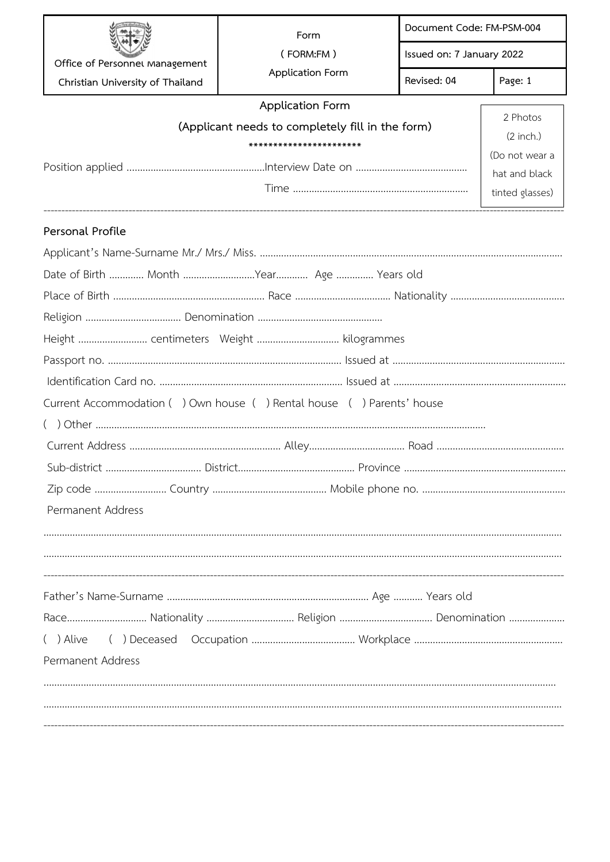|                                           | Form                                                                    | Document Code: FM-PSM-004 |                 |  |  |  |  |  |
|-------------------------------------------|-------------------------------------------------------------------------|---------------------------|-----------------|--|--|--|--|--|
| Office of Personnel Management            | (FORM:FM)                                                               | Issued on: 7 January 2022 |                 |  |  |  |  |  |
| Christian University of Thailand          | Application Form                                                        | Revised: 04               | Page: 1         |  |  |  |  |  |
|                                           | Application Form                                                        |                           | 2 Photos        |  |  |  |  |  |
|                                           | (Applicant needs to completely fill in the form)                        |                           | $(2$ inch.)     |  |  |  |  |  |
| ***********************<br>(Do not wear a |                                                                         |                           |                 |  |  |  |  |  |
|                                           |                                                                         |                           | hat and black   |  |  |  |  |  |
|                                           |                                                                         |                           | tinted glasses) |  |  |  |  |  |
| Personal Profile                          |                                                                         |                           |                 |  |  |  |  |  |
|                                           |                                                                         |                           |                 |  |  |  |  |  |
|                                           |                                                                         |                           |                 |  |  |  |  |  |
|                                           |                                                                         |                           |                 |  |  |  |  |  |
|                                           |                                                                         |                           |                 |  |  |  |  |  |
|                                           |                                                                         |                           |                 |  |  |  |  |  |
|                                           |                                                                         |                           |                 |  |  |  |  |  |
|                                           |                                                                         |                           |                 |  |  |  |  |  |
|                                           | Current Accommodation ( ) Own house ( ) Rental house ( ) Parents' house |                           |                 |  |  |  |  |  |
|                                           |                                                                         |                           |                 |  |  |  |  |  |
|                                           |                                                                         |                           |                 |  |  |  |  |  |
|                                           |                                                                         |                           |                 |  |  |  |  |  |
|                                           |                                                                         |                           |                 |  |  |  |  |  |
| Permanent Address                         |                                                                         |                           |                 |  |  |  |  |  |
|                                           |                                                                         |                           |                 |  |  |  |  |  |
|                                           |                                                                         |                           |                 |  |  |  |  |  |
|                                           |                                                                         |                           |                 |  |  |  |  |  |
| Race Nationality  Religion  Denomination  |                                                                         |                           |                 |  |  |  |  |  |
|                                           |                                                                         |                           |                 |  |  |  |  |  |
| Permanent Address                         |                                                                         |                           |                 |  |  |  |  |  |
|                                           |                                                                         |                           |                 |  |  |  |  |  |
|                                           |                                                                         |                           |                 |  |  |  |  |  |
|                                           |                                                                         |                           |                 |  |  |  |  |  |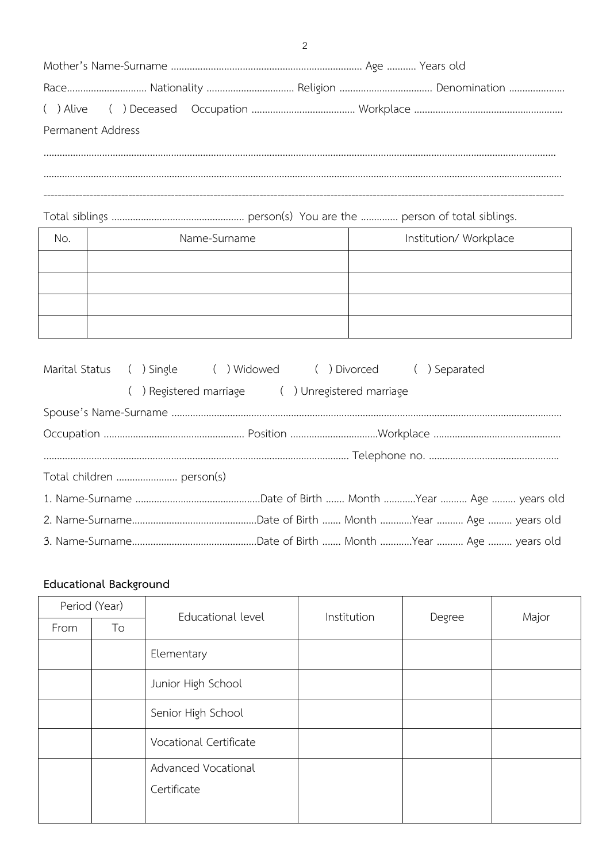| Permanent Address |  |  |  |
|-------------------|--|--|--|
|                   |  |  |  |
|                   |  |  |  |

| No. | Name-Surname | Institution/ Workplace |  |  |
|-----|--------------|------------------------|--|--|
|     |              |                        |  |  |
|     |              |                        |  |  |
|     |              |                        |  |  |
|     |              |                        |  |  |

| Marital Status () Single () Widowed () Divorced () Separated |                                                 |  |  |  |  |
|--------------------------------------------------------------|-------------------------------------------------|--|--|--|--|
|                                                              | () Registered marriage () Unregistered marriage |  |  |  |  |
|                                                              |                                                 |  |  |  |  |
|                                                              |                                                 |  |  |  |  |
|                                                              |                                                 |  |  |  |  |
|                                                              |                                                 |  |  |  |  |
|                                                              |                                                 |  |  |  |  |
|                                                              |                                                 |  |  |  |  |
|                                                              |                                                 |  |  |  |  |

## Educational Background

|      | Period (Year) | Educational level                  | Institution | Degree | Major |  |
|------|---------------|------------------------------------|-------------|--------|-------|--|
| From | To            |                                    |             |        |       |  |
|      |               | Elementary                         |             |        |       |  |
|      |               | Junior High School                 |             |        |       |  |
|      |               | Senior High School                 |             |        |       |  |
|      |               | Vocational Certificate             |             |        |       |  |
|      |               | Advanced Vocational<br>Certificate |             |        |       |  |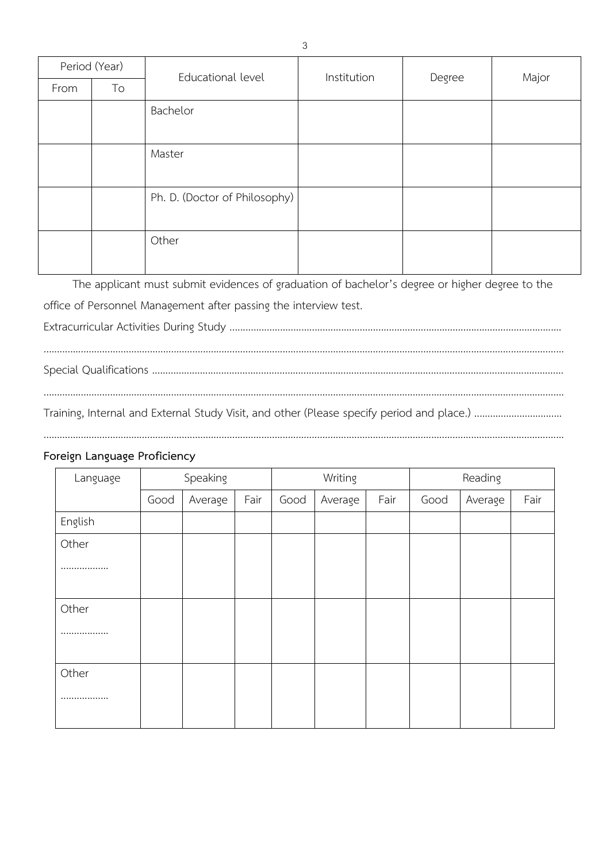|      | Period (Year) | Educational level             | Institution | Degree | Major |  |
|------|---------------|-------------------------------|-------------|--------|-------|--|
| From | To            |                               |             |        |       |  |
|      |               | Bachelor                      |             |        |       |  |
|      |               | Master                        |             |        |       |  |
|      |               | Ph. D. (Doctor of Philosophy) |             |        |       |  |
|      |               | Other                         |             |        |       |  |

The applicant must submit evidences of graduation of bachelor's degree or higher degree to the

office of Personnel Management after passing the interview test.

Extracurricular Activities During Study .............................................................................................................................

Special Qualifications ...........................................................................................................................................................

Training, Internal and External Study Visit, and other (Please specify period and place.) .................................

....................................................................................................................................................................................................

....................................................................................................................................................................................................

#### **Foreign Language Proficiency**

| Language | Speaking |         | Writing |      |         | Reading |      |         |      |
|----------|----------|---------|---------|------|---------|---------|------|---------|------|
|          | Good     | Average | Fair    | Good | Average | Fair    | Good | Average | Fair |
| English  |          |         |         |      |         |         |      |         |      |
| Other    |          |         |         |      |         |         |      |         |      |
|          |          |         |         |      |         |         |      |         |      |
|          |          |         |         |      |         |         |      |         |      |
| Other    |          |         |         |      |         |         |      |         |      |
|          |          |         |         |      |         |         |      |         |      |
|          |          |         |         |      |         |         |      |         |      |
| Other    |          |         |         |      |         |         |      |         |      |
|          |          |         |         |      |         |         |      |         |      |
|          |          |         |         |      |         |         |      |         |      |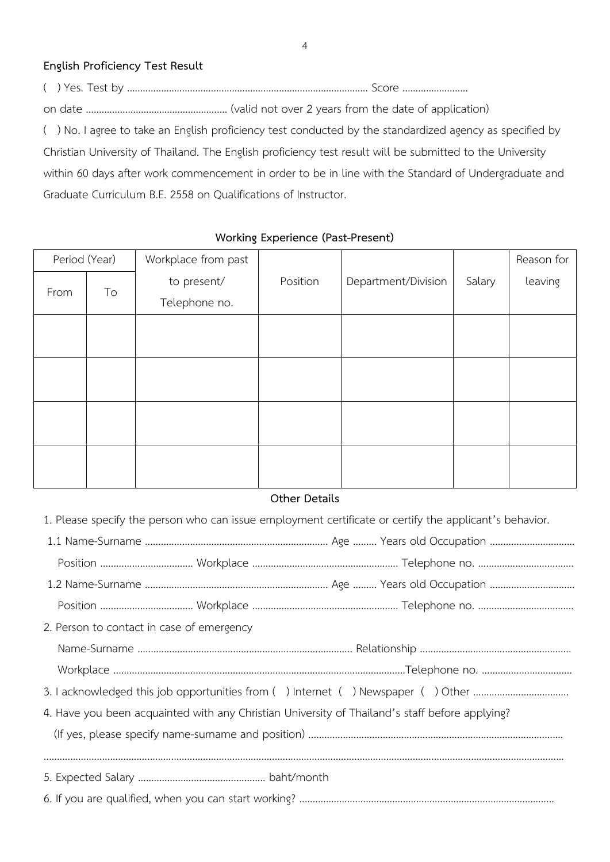### **English Proficiency Test Result**

( ) Yes. Test by …………………………………………….…………………………………. Score …………………….

on date …………………………………………...... (valid not over 2 years from the date of application)

( ) No. I agree to take an English proficiency test conducted by the standardized agency as specified by Christian University of Thailand. The English proficiency test result will be submitted to the University within 60 days after work commencement in order to be in line with the Standard of Undergraduate and Graduate Curriculum B.E. 2558 on Qualifications of Instructor.

# Period (Year) Vorkplace from past to present/ Telephone no. Position | Department/Division | Salary Reason for leaving From To

### **Working Experience (Past-Present)**

### **Other Details**

- 1. Please specify the person who can issue employment certificate or certify the applicant's behavior.
- 1.1 Name-Surname ..................................................................... Age ......... Years old Occupation ................................ Position ................................... Workplace ....................................................... Telephone no. ....................................
- 1.2 Name-Surname ..................................................................... Age ......... Years old Occupation ................................ Position ................................... Workplace ....................................................... Telephone no. ....................................
- 2. Person to contact in case of emergency
- Name-Surname ................................................................................. Relationship .........................................................
- Workplace ..............................................................................................................Telephone no. ..................................
- 3. I acknowledged this job opportunities from () Internet () Newspaper () Other ...............................
- 4. Have you been acquainted with any Christian University of Thailand's staff before applying?

(If yes, please specify name-surname and position) ................................................................................................

....................................................................................................................................................................................................

- 5. Expected Salary ................................................ baht/month
- 6. If you are qualified, when you can start working? ................................................................................................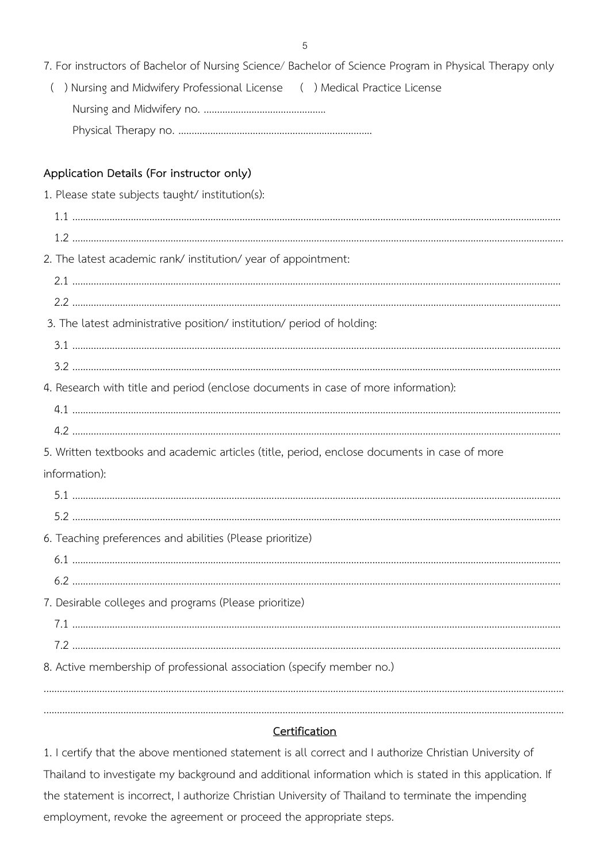5

| Certification                                                                                           |
|---------------------------------------------------------------------------------------------------------|
|                                                                                                         |
| 8. Active membership of professional association (specify member no.)                                   |
|                                                                                                         |
|                                                                                                         |
| 7. Desirable colleges and programs (Please prioritize)                                                  |
|                                                                                                         |
|                                                                                                         |
| 6. Teaching preferences and abilities (Please prioritize)                                               |
| 52                                                                                                      |
|                                                                                                         |
| information):                                                                                           |
| 5. Written textbooks and academic articles (title, period, enclose documents in case of more            |
|                                                                                                         |
|                                                                                                         |
| 4. Research with title and period (enclose documents in case of more information):                      |
|                                                                                                         |
|                                                                                                         |
| 3. The latest administrative position/ institution/ period of holding:                                  |
|                                                                                                         |
|                                                                                                         |
| 2. The latest academic rank/ institution/ year of appointment:                                          |
|                                                                                                         |
|                                                                                                         |
| Application Details (For instructor only)<br>1. Please state subjects taught/ institution(s):           |
|                                                                                                         |
|                                                                                                         |
|                                                                                                         |
| ) Nursing and Midwifery Professional License ( ) Medical Practice License<br>$\left($                   |
| 7. For instructors of Bachelor of Nursing Science/ Bachelor of Science Program in Physical Therapy only |

1. I certify that the above mentioned statement is all correct and I authorize Christian University of Thailand to investigate my background and additional information which is stated in this application. If the statement is incorrect, I authorize Christian University of Thailand to terminate the impending employment, revoke the agreement or proceed the appropriate steps.